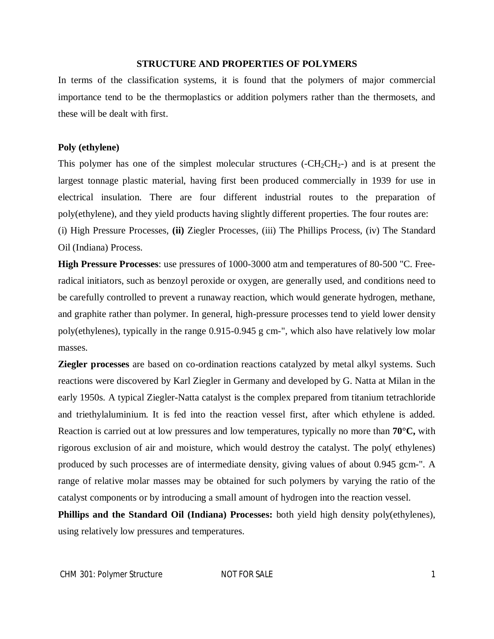#### **STRUCTURE AND PROPERTIES OF POLYMERS**

In terms of the classification systems, it is found that the polymers of major commercial importance tend to be the thermoplastics or addition polymers rather than the thermosets, and these will be dealt with first.

#### **Poly (ethylene)**

This polymer has one of the simplest molecular structures  $(-CH_2CH_2-)$  and is at present the largest tonnage plastic material, having first been produced commercially in 1939 for use in electrical insulation. There are four different industrial routes to the preparation of poly(ethylene), and they yield products having slightly different properties. The four routes are: (i) High Pressure Processes, **(ii)** Ziegler Processes, (iii) The Phillips Process, (iv) The Standard Oil (Indiana) Process.

**High Pressure Processes**: use pressures of 1000-3000 atm and temperatures of 80-500 "C. Freeradical initiators, such as benzoyl peroxide or oxygen, are generally used, and conditions need to be carefully controlled to prevent a runaway reaction, which would generate hydrogen, methane, and graphite rather than polymer. In general, high-pressure processes tend to yield lower density poly(ethylenes), typically in the range 0.915-0.945 g cm-", which also have relatively low molar masses.

**Ziegler processes** are based on co-ordination reactions catalyzed by metal alkyl systems. Such reactions were discovered by Karl Ziegler in Germany and developed by G. Natta at Milan in the early 1950s. A typical Ziegler-Natta catalyst is the complex prepared from titanium tetrachloride and triethylaluminium. It is fed into the reaction vessel first, after which ethylene is added. Reaction is carried out at low pressures and low temperatures, typically no more than **70°C,** with rigorous exclusion of air and moisture, which would destroy the catalyst. The poly( ethylenes) produced by such processes are of intermediate density, giving values of about 0.945 gcm-". A range of relative molar masses may be obtained for such polymers by varying the ratio of the catalyst components or by introducing a small amount of hydrogen into the reaction vessel.

**Phillips and the Standard Oil (Indiana) Processes:** both yield high density poly(ethylenes), using relatively low pressures and temperatures.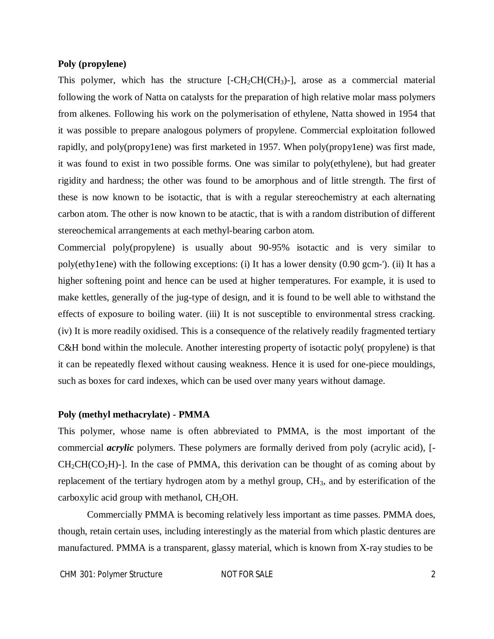## **Poly (propylene)**

This polymer, which has the structure  $[-CH_2CH(CH_3)-]$ , arose as a commercial material following the work of Natta on catalysts for the preparation of high relative molar mass polymers from alkenes. Following his work on the polymerisation of ethylene, Natta showed in 1954 that it was possible to prepare analogous polymers of propylene. Commercial exploitation followed rapidly, and poly(propy1ene) was first marketed in 1957. When poly(propy1ene) was first made, it was found to exist in two possible forms. One was similar to poly(ethylene), but had greater rigidity and hardness; the other was found to be amorphous and of little strength. The first of these is now known to be isotactic, that is with a regular stereochemistry at each alternating carbon atom. The other is now known to be atactic, that is with a random distribution of different stereochemical arrangements at each methyl-bearing carbon atom.

Commercial poly(propylene) is usually about 90-95% isotactic and is very similar to poly(ethy1ene) with the following exceptions: (i) It has a lower density (0.90 gcm-'). (ii) It has a higher softening point and hence can be used at higher temperatures. For example, it is used to make kettles, generally of the jug-type of design, and it is found to be well able to withstand the effects of exposure to boiling water. (iii) It is not susceptible to environmental stress cracking. (iv) It is more readily oxidised. This is a consequence of the relatively readily fragmented tertiary C&H bond within the molecule. Another interesting property of isotactic poly( propylene) is that it can be repeatedly flexed without causing weakness. Hence it is used for one-piece mouldings, such as boxes for card indexes, which can be used over many years without damage.

## **Poly (methyl methacrylate) - PMMA**

This polymer, whose name is often abbreviated to PMMA, is the most important of the commercial *acrylic* polymers. These polymers are formally derived from poly (acrylic acid), [-  $CH_2CH(CO_2H)$ -]. In the case of PMMA, this derivation can be thought of as coming about by replacement of the tertiary hydrogen atom by a methyl group,  $CH_3$ , and by esterification of the carboxylic acid group with methanol,  $CH<sub>2</sub>OH$ .

Commercially PMMA is becoming relatively less important as time passes. PMMA does, though, retain certain uses, including interestingly as the material from which plastic dentures are manufactured. PMMA is a transparent, glassy material, which is known from X-ray studies to be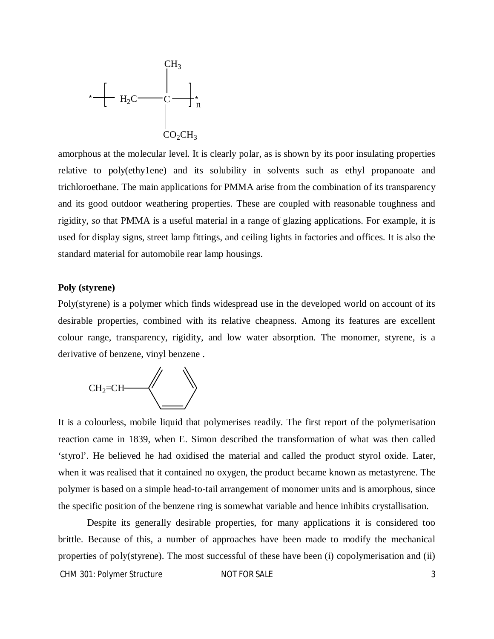

amorphous at the molecular level. It is clearly polar, as is shown by its poor insulating properties relative to poly(ethy1ene) and its solubility in solvents such as ethyl propanoate and trichloroethane. The main applications for PMMA arise from the combination of its transparency and its good outdoor weathering properties. These are coupled with reasonable toughness and rigidity, *so* that PMMA is a useful material in a range of glazing applications. For example, it is used for display signs, street lamp fittings, and ceiling lights in factories and offices. It is also the standard material for automobile rear lamp housings.

#### **Poly (styrene)**

Poly(styrene) is a polymer which finds widespread use in the developed world on account of its desirable properties, combined with its relative cheapness. Among its features are excellent colour range, transparency, rigidity, and low water absorption. The monomer, styrene, is a derivative of benzene, vinyl benzene .



It is a colourless, mobile liquid that polymerises readily. The first report of the polymerisation reaction came in 1839, when E. Simon described the transformation of what was then called 'styrol'. He believed he had oxidised the material and called the product styrol oxide. Later, when it was realised that it contained no oxygen, the product became known as metastyrene. The polymer is based on a simple head-to-tail arrangement of monomer units and is amorphous, since the specific position of the benzene ring is somewhat variable and hence inhibits crystallisation.

*CHM 301: Polymer Structure NOT FOR SALE* 3 Despite its generally desirable properties, for many applications it is considered too brittle. Because of this, a number of approaches have been made to modify the mechanical properties of poly(styrene). The most successful of these have been (i) copolymerisation and (ii)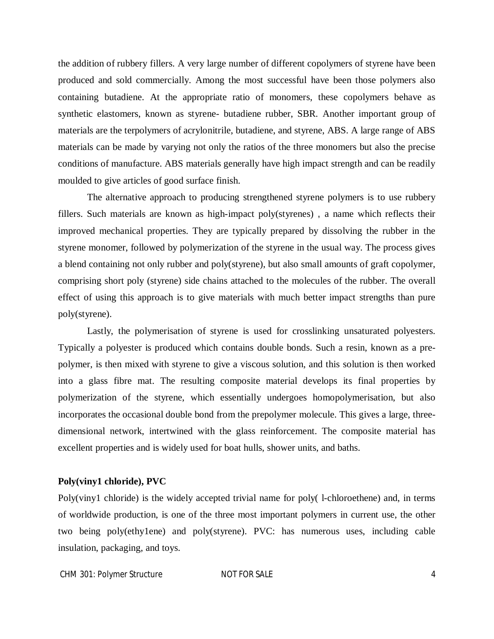the addition of rubbery fillers. A very large number of different copolymers of styrene have been produced and sold commercially. Among the most successful have been those polymers also containing butadiene. At the appropriate ratio of monomers, these copolymers behave as synthetic elastomers, known as styrene- butadiene rubber, SBR. Another important group of materials are the terpolymers of acrylonitrile, butadiene, and styrene, ABS. A large range of ABS materials can be made by varying not only the ratios of the three monomers but also the precise conditions of manufacture. ABS materials generally have high impact strength and can be readily moulded to give articles of good surface finish.

The alternative approach to producing strengthened styrene polymers is to use rubbery fillers. Such materials are known as high-impact poly(styrenes) , a name which reflects their improved mechanical properties. They are typically prepared by dissolving the rubber in the styrene monomer, followed by polymerization of the styrene in the usual way. The process gives a blend containing not only rubber and poly(styrene), but also small amounts of graft copolymer, comprising short poly (styrene) side chains attached to the molecules of the rubber. The overall effect of using this approach is to give materials with much better impact strengths than pure poly(styrene).

Lastly, the polymerisation of styrene is used for crosslinking unsaturated polyesters. Typically a polyester is produced which contains double bonds. Such a resin, known as a prepolymer, is then mixed with styrene to give a viscous solution, and this solution is then worked into a glass fibre mat. The resulting composite material develops its final properties by polymerization of the styrene, which essentially undergoes homopolymerisation, but also incorporates the occasional double bond from the prepolymer molecule. This gives a large, threedimensional network, intertwined with the glass reinforcement. The composite material has excellent properties and is widely used for boat hulls, shower units, and baths.

#### **Poly(viny1 chloride), PVC**

Poly(viny1 chloride) is the widely accepted trivial name for poly( l-chloroethene) and, in terms of worldwide production, is one of the three most important polymers in current use, the other two being poly(ethy1ene) and poly(styrene). PVC: has numerous uses, including cable insulation, packaging, and toys.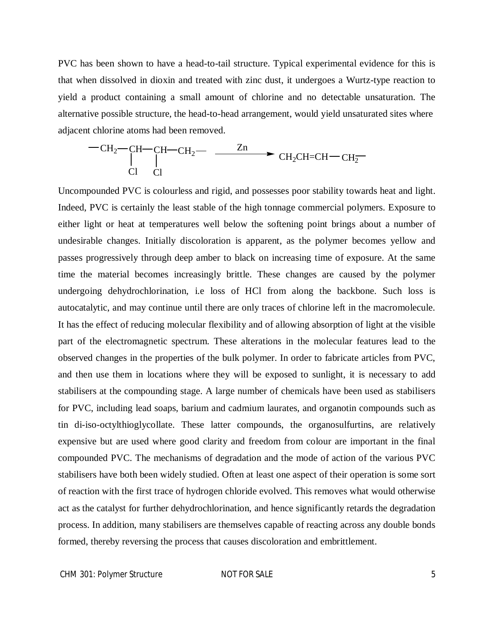PVC has been shown to have a head-to-tail structure. Typical experimental evidence for this is that when dissolved in dioxin and treated with zinc dust, it undergoes a Wurtz-type reaction to yield a product containing a small amount of chlorine and no detectable unsaturation. The alternative possible structure, the head-to-head arrangement, would yield unsaturated sites where adjacent chlorine atoms had been removed.

$$
-CH2-CH-CH-CH2- H2- H2- CH2- CH2- CH2- CH2- CH2- CH2- CH2- CH2- CH2- CH2- CH2- CH2- CH2- CH2- CH2- CH2- CH2- CH2- CH2- CH2- CH2- CH2- CH2- CH2- CH2- CH2- CH2- CH2- CH2- CH2- CH2- CH2- CH2- CH2- CH2- CH2- CH2- CH2- CH2- CH2- CH2- CH2- CH2- CH2- CH2- CH2- CH2- CH2- CH2- CH2- CH2- CH2- CH2- CH2- CH2- CH2- CH2- CH2- CH2- CH2- CH2- CH2- CH2- CH2- CH2- CH2- CH2- CH2- CH2- CH2- CH2- CH2- CH2- CH2- CH2- CH2- CH2- CH2- CH2- CH2- CH2- CH2- CH2- CH2- CH2- CH2- CH2- CH2- CH2- CH2- CH<
$$

Uncompounded PVC is colourless and rigid, and possesses poor stability towards heat and light. Indeed, PVC is certainly the least stable of the high tonnage commercial polymers. Exposure to either light or heat at temperatures well below the softening point brings about a number of undesirable changes. Initially discoloration is apparent, as the polymer becomes yellow and passes progressively through deep amber to black on increasing time of exposure. At the same time the material becomes increasingly brittle. These changes are caused by the polymer undergoing dehydrochlorination, i.e loss of HCl from along the backbone. Such loss is autocatalytic, and may continue until there are only traces of chlorine left in the macromolecule. It has the effect of reducing molecular flexibility and of allowing absorption of light at the visible part of the electromagnetic spectrum. These alterations in the molecular features lead to the observed changes in the properties of the bulk polymer. In order to fabricate articles from PVC, and then use them in locations where they will be exposed to sunlight, it is necessary to add stabilisers at the compounding stage. A large number of chemicals have been used as stabilisers for PVC, including lead soaps, barium and cadmium laurates, and organotin compounds such as tin di-iso-octylthioglycollate. These latter compounds, the organosulfurtins, are relatively expensive but are used where good clarity and freedom from colour are important in the final compounded PVC. The mechanisms of degradation and the mode of action of the various PVC stabilisers have both been widely studied. Often at least one aspect of their operation is some sort of reaction with the first trace of hydrogen chloride evolved. This removes what would otherwise act as the catalyst for further dehydrochlorination, and hence significantly retards the degradation process. In addition, many stabilisers are themselves capable of reacting across any double bonds formed, thereby reversing the process that causes discoloration and embrittlement.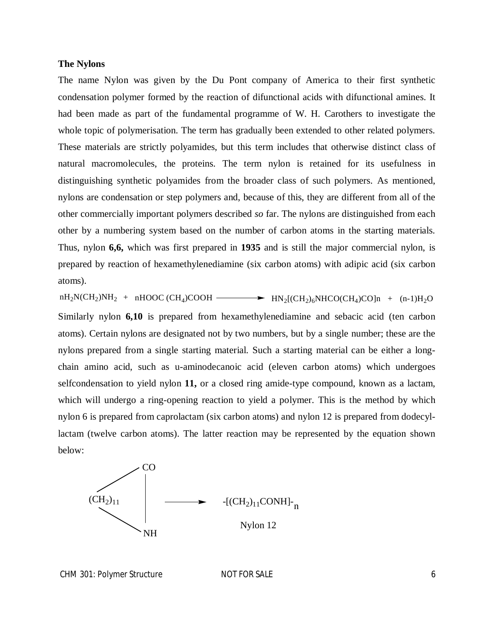#### **The Nylons**

The name Nylon was given by the Du Pont company of America to their first synthetic condensation polymer formed by the reaction of difunctional acids with difunctional amines. It had been made as part of the fundamental programme of W. H. Carothers to investigate the whole topic of polymerisation. The term has gradually been extended to other related polymers. These materials are strictly polyamides, but this term includes that otherwise distinct class of natural macromolecules, the proteins. The term nylon is retained for its usefulness in distinguishing synthetic polyamides from the broader class of such polymers. As mentioned, nylons are condensation or step polymers and, because of this, they are different from all of the other commercially important polymers described *so* far. The nylons are distinguished from each other by a numbering system based on the number of carbon atoms in the starting materials. Thus, nylon **6,6,** which was first prepared in **1935** and is still the major commercial nylon, is prepared by reaction of hexamethylenediamine (six carbon atoms) with adipic acid (six carbon atoms).

 $nH_2N(CH_2)NH_2$  +  $nHOOC$  (CH<sub>4</sub>)COOH  $\longrightarrow$   $HN_2[(CH_2)_6NHCO(CH_4)CO]n$  +  $(n-1)H_2O$ Similarly nylon **6,10** is prepared from hexamethylenediamine and sebacic acid (ten carbon atoms). Certain nylons are designated not by two numbers, but by a single number; these are the nylons prepared from a single starting material. Such a starting material can be either a longchain amino acid, such as u-aminodecanoic acid (eleven carbon atoms) which undergoes selfcondensation to yield nylon **11,** or a closed ring amide-type compound, known as a lactam, which will undergo a ring-opening reaction to yield a polymer. This is the method by which nylon 6 is prepared from caprolactam (six carbon atoms) and nylon 12 is prepared from dodecyllactam (twelve carbon atoms). The latter reaction may be represented by the equation shown below:

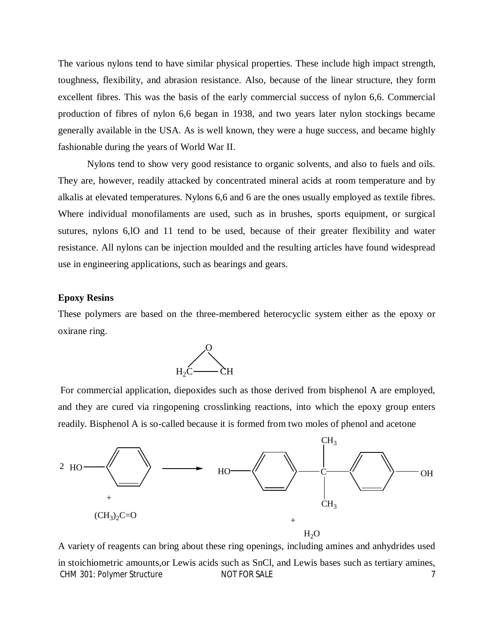The various nylons tend to have similar physical properties. These include high impact strength, toughness, flexibility, and abrasion resistance. Also, because of the linear structure, they form excellent fibres. This was the basis of the early commercial success of nylon 6,6. Commercial production of fibres of nylon 6,6 began in 1938, and two years later nylon stockings became generally available in the USA. As is well known, they were a huge success, and became highly fashionable during the years of World War II.

Nylons tend to show very good resistance to organic solvents, and also to fuels and oils. They are, however, readily attacked by concentrated mineral acids at room temperature and by alkalis at elevated temperatures. Nylons 6,6 and 6 are the ones usually employed as textile fibres. Where individual monofilaments are used, such as in brushes, sports equipment, or surgical sutures, nylons 6,lO and 11 tend to be used, because of their greater flexibility and water resistance. All nylons can be injection moulded and the resulting articles have found widespread use in engineering applications, such as bearings and gears.

## **Epoxy Resins**

These polymers are based on the three-membered heterocyclic system either as the epoxy or oxirane ring.



For commercial application, diepoxides such as those derived from bisphenol A are employed, and they are cured via ringopening crosslinking reactions, into which the epoxy group enters readily. Bisphenol A is so-called because it is formed from two moles of phenol and acetone



*CHM 301: Polymer Structure NOT FOR SALE* 7 A variety of reagents can bring about these ring openings, including amines and anhydrides used in stoichiometric amounts,or Lewis acids such as SnCl, and Lewis bases such as tertiary amines,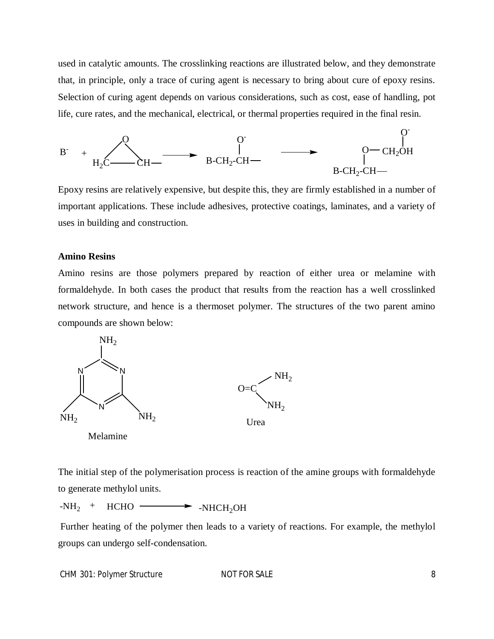used in catalytic amounts. The crosslinking reactions are illustrated below, and they demonstrate that, in principle, only a trace of curing agent is necessary to bring about cure of epoxy resins. Selection of curing agent depends on various considerations, such as cost, ease of handling, pot life, cure rates, and the mechanical, electrical, or thermal properties required in the final resin.



Epoxy resins are relatively expensive, but despite this, they are firmly established in a number of important applications. These include adhesives, protective coatings, laminates, and a variety of uses in building and construction.

#### **Amino Resins**

Amino resins are those polymers prepared by reaction of either urea or melamine with formaldehyde. In both cases the product that results from the reaction has a well crosslinked network structure, and hence is a thermoset polymer. The structures of the two parent amino compounds are shown below:



Melamine

The initial step of the polymerisation process is reaction of the amine groups with formaldehyde to generate methylol units.

 $-NH_2$  + HCHO  $\longrightarrow$  -NHCH<sub>2</sub>OH

Further heating of the polymer then leads to a variety of reactions. For example, the methylol groups can undergo self-condensation.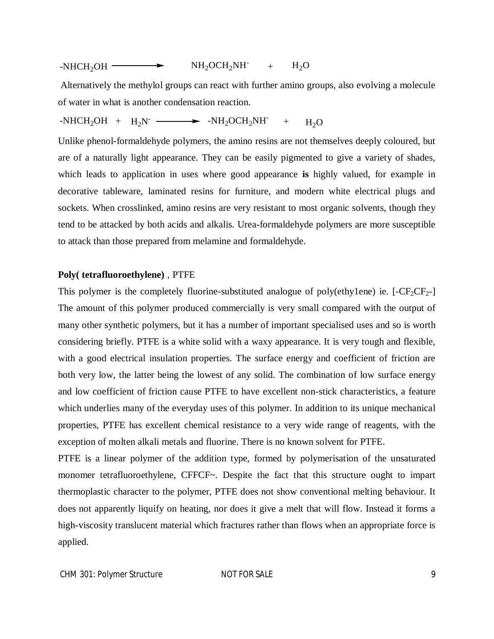$-HICH<sub>2</sub>OH$ <sup>-</sup>  $NH_2OCH_2NH^ +$  H<sub>2</sub>O

Alternatively the methylol groups can react with further amino groups, also evolving a molecule of water in what is another condensation reaction.

 $-H_2OH + H_2N^ \longrightarrow$   $-H_2OCH_2NH^ +$   $H_2O$ 

Unlike phenol-formaldehyde polymers, the amino resins are not themselves deeply coloured, but are of a naturally light appearance. They can be easily pigmented to give a variety of shades, which leads to application in uses where good appearance **is** highly valued, for example in decorative tableware, laminated resins for furniture, and modern white electrical plugs and sockets. When crosslinked, amino resins are very resistant to most organic solvents, though they tend to be attacked by both acids and alkalis. Urea-formaldehyde polymers are more susceptible to attack than those prepared from melamine and formaldehyde.

## **Poly( tetrafluoroethylene)** , PTFE

This polymer is the completely fluorine-substituted analogue of poly(ethy1ene) ie.  $[-CF_2CF_2-]$ The amount of this polymer produced commercially is very small compared with the output of many other synthetic polymers, but it has a number of important specialised uses and so is worth considering briefly. PTFE is a white solid with a waxy appearance. It is very tough and flexible, with a good electrical insulation properties. The surface energy and coefficient of friction are both very low, the latter being the lowest of any solid. The combination of low surface energy and low coefficient of friction cause PTFE to have excellent non-stick characteristics, a feature which underlies many of the everyday uses of this polymer. In addition to its unique mechanical properties, PTFE has excellent chemical resistance to a very wide range of reagents, with the exception of molten alkali metals and fluorine. There is no known solvent for PTFE.

PTFE is a linear polymer of the addition type, formed by polymerisation of the unsaturated monomer tetrafluoroethylene, CFFCF~. Despite the fact that this structure ought to impart thermoplastic character to the polymer, PTFE does not show conventional melting behaviour. It does not apparently liquify on heating, nor does it give a melt that will flow. Instead it forms a high-viscosity translucent material which fractures rather than flows when an appropriate force is applied.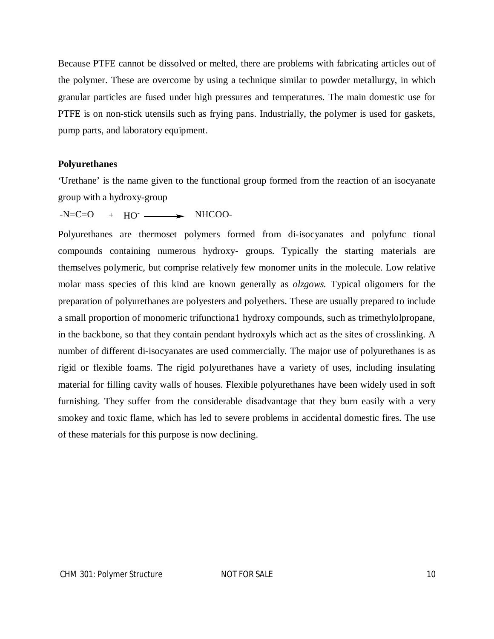Because PTFE cannot be dissolved or melted, there are problems with fabricating articles out of the polymer. These are overcome by using a technique similar to powder metallurgy, in which granular particles are fused under high pressures and temperatures. The main domestic use for PTFE is on non-stick utensils such as frying pans. Industrially, the polymer is used for gaskets, pump parts, and laboratory equipment.

## **Polyurethanes**

'Urethane' is the name given to the functional group formed from the reaction of an isocyanate group with a hydroxy-group

# $-$ N=C=O + HO  $\longrightarrow$  NHCOO

Polyurethanes are thermoset polymers formed from di-isocyanates and polyfunc tional compounds containing numerous hydroxy- groups. Typically the starting materials are themselves polymeric, but comprise relatively few monomer units in the molecule. Low relative molar mass species of this kind are known generally as *olzgows.* Typical oligomers for the preparation of polyurethanes are polyesters and polyethers. These are usually prepared to include a small proportion of monomeric trifunctiona1 hydroxy compounds, such as trimethylolpropane, in the backbone, so that they contain pendant hydroxyls which act as the sites of crosslinking. A number of different di-isocyanates are used commercially. The major use of polyurethanes is as rigid or flexible foams. The rigid polyurethanes have a variety of uses, including insulating material for filling cavity walls of houses. Flexible polyurethanes have been widely used in soft furnishing. They suffer from the considerable disadvantage that they burn easily with a very smokey and toxic flame, which has led to severe problems in accidental domestic fires. The use of these materials for this purpose is now declining.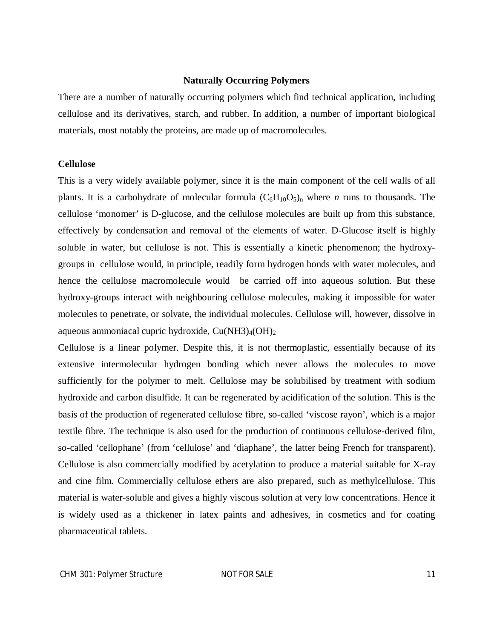#### **Naturally Occurring Polymers**

There are a number of naturally occurring polymers which find technical application, including cellulose and its derivatives, starch, and rubber. In addition, a number of important biological materials, most notably the proteins, are made up of macromolecules.

#### **Cellulose**

This is a very widely available polymer, since it is the main component of the cell walls of all plants. It is a carbohydrate of molecular formula  $(C_6H_{10}O_5)_n$  where *n* runs to thousands. The cellulose 'monomer' is D-glucose, and the cellulose molecules are built up from this substance, effectively by condensation and removal of the elements of water. D-Glucose itself is highly soluble in water, but cellulose is not. This is essentially a kinetic phenomenon; the hydroxygroups in cellulose would, in principle, readily form hydrogen bonds with water molecules, and hence the cellulose macromolecule would be carried off into aqueous solution. But these hydroxy-groups interact with neighbouring cellulose molecules, making it impossible for water molecules to penetrate, or solvate, the individual molecules. Cellulose will, however, dissolve in aqueous ammoniacal cupric hydroxide,  $Cu(NH3)_{4}(OH)_{2}$ 

Cellulose is a linear polymer. Despite this, it is not thermoplastic, essentially because of its extensive intermolecular hydrogen bonding which never allows the molecules to move sufficiently for the polymer to melt. Cellulose may be solubilised by treatment with sodium hydroxide and carbon disulfide. It can be regenerated by acidification of the solution. This is the basis of the production of regenerated cellulose fibre, so-called 'viscose rayon', which is a major textile fibre. The technique is also used for the production of continuous cellulose-derived film, so-called 'cellophane' (from 'cellulose' and 'diaphane', the latter being French for transparent). Cellulose is also commercially modified by acetylation to produce a material suitable for X-ray and cine film. Commercially cellulose ethers are also prepared, such as methylcellulose. This material is water-soluble and gives a highly viscous solution at very low concentrations. Hence it is widely used as a thickener in latex paints and adhesives, in cosmetics and for coating pharmaceutical tablets.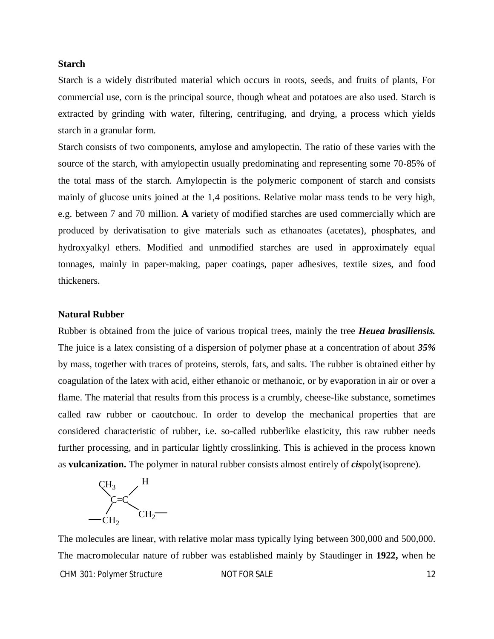### **Starch**

Starch is a widely distributed material which occurs in roots, seeds, and fruits of plants, For commercial use, corn is the principal source, though wheat and potatoes are also used. Starch is extracted by grinding with water, filtering, centrifuging, and drying, a process which yields starch in a granular form.

Starch consists of two components, amylose and amylopectin. The ratio of these varies with the source of the starch, with amylopectin usually predominating and representing some 70-85% of the total mass of the starch. Amylopectin is the polymeric component of starch and consists mainly of glucose units joined at the 1,4 positions. Relative molar mass tends to be very high, e.g. between 7 and 70 million. **A** variety of modified starches are used commercially which are produced by derivatisation to give materials such as ethanoates (acetates), phosphates, and hydroxyalkyl ethers. Modified and unmodified starches are used in approximately equal tonnages, mainly in paper-making, paper coatings, paper adhesives, textile sizes, and food thickeners.

#### **Natural Rubber**

Rubber is obtained from the juice of various tropical trees, mainly the tree *Heuea brasiliensis.*  The juice is a latex consisting of a dispersion of polymer phase at a concentration of about *35%*  by mass, together with traces of proteins, sterols, fats, and salts. The rubber is obtained either by coagulation of the latex with acid, either ethanoic or methanoic, or by evaporation in air or over a flame. The material that results from this process is a crumbly, cheese-like substance, sometimes called raw rubber or caoutchouc. In order to develop the mechanical properties that are considered characteristic of rubber, i.e. so-called rubberlike elasticity, this raw rubber needs further processing, and in particular lightly crosslinking. This is achieved in the process known as **vulcanization.** The polymer in natural rubber consists almost entirely of *cis*poly(isoprene).



*CHM 301: Polymer Structure NOT FOR SALE* 12 The molecules are linear, with relative molar mass typically lying between 300,000 and 500,000. The macromolecular nature of rubber was established mainly by Staudinger in **1922,** when he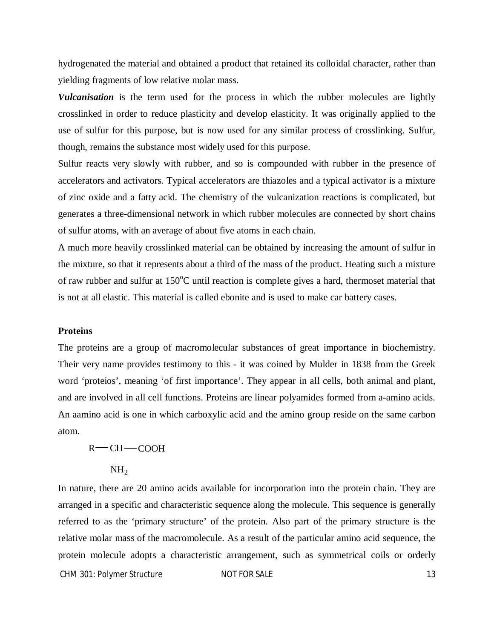hydrogenated the material and obtained a product that retained its colloidal character, rather than yielding fragments of low relative molar mass.

*Vulcanisation* is the term used for the process in which the rubber molecules are lightly crosslinked in order to reduce plasticity and develop elasticity. It was originally applied to the use of sulfur for this purpose, but is now used for any similar process of crosslinking. Sulfur, though, remains the substance most widely used for this purpose.

Sulfur reacts very slowly with rubber, and so is compounded with rubber in the presence of accelerators and activators. Typical accelerators are thiazoles and a typical activator is a mixture of zinc oxide and a fatty acid. The chemistry of the vulcanization reactions is complicated, but generates a three-dimensional network in which rubber molecules are connected by short chains of sulfur atoms, with an average of about five atoms in each chain.

A much more heavily crosslinked material can be obtained by increasing the amount of sulfur in the mixture, so that it represents about a third of the mass of the product. Heating such a mixture of raw rubber and sulfur at  $150^{\circ}$ C until reaction is complete gives a hard, thermoset material that is not at all elastic. This material is called ebonite and is used to make car battery cases.

#### **Proteins**

The proteins are a group of macromolecular substances of great importance in biochemistry. Their very name provides testimony to this - it was coined by Mulder in 1838 from the Greek word 'proteios', meaning 'of first importance'. They appear in all cells, both animal and plant, and are involved in all cell functions. Proteins are linear polyamides formed from a-amino acids. An aamino acid is one in which carboxylic acid and the amino group reside on the same carbon atom.

$$
\begin{array}{c}\nR\rightarrow CH\rightarrow COOH \\
NH_2\n\end{array}
$$

*CHM 301: Polymer Structure NOT FOR SALE* 13 In nature, there are 20 amino acids available for incorporation into the protein chain. They are arranged in a specific and characteristic sequence along the molecule. This sequence is generally referred to as the 'primary structure' of the protein. Also part of the primary structure is the relative molar mass of the macromolecule. As a result of the particular amino acid sequence, the protein molecule adopts a characteristic arrangement, such as symmetrical coils or orderly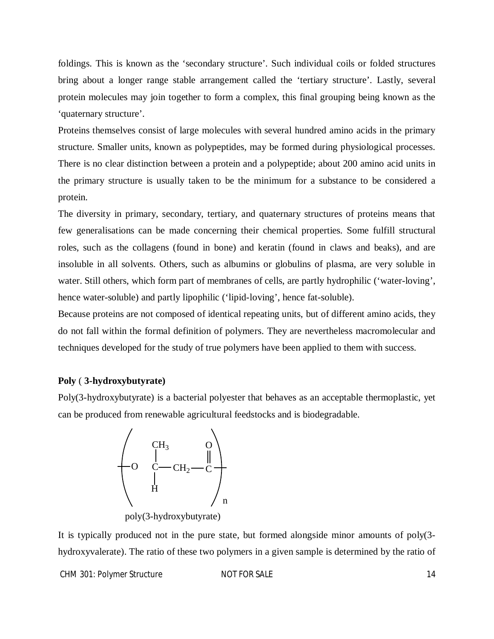foldings. This is known as the 'secondary structure'. Such individual coils or folded structures bring about a longer range stable arrangement called the 'tertiary structure'. Lastly, several protein molecules may join together to form a complex, this final grouping being known as the 'quaternary structure'.

Proteins themselves consist of large molecules with several hundred amino acids in the primary structure. Smaller units, known as polypeptides, may be formed during physiological processes. There is no clear distinction between a protein and a polypeptide; about 200 amino acid units in the primary structure is usually taken to be the minimum for a substance to be considered a protein.

The diversity in primary, secondary, tertiary, and quaternary structures of proteins means that few generalisations can be made concerning their chemical properties. Some fulfill structural roles, such as the collagens (found in bone) and keratin (found in claws and beaks), and are insoluble in all solvents. Others, such as albumins or globulins of plasma, are very soluble in water. Still others, which form part of membranes of cells, are partly hydrophilic ('water-loving', hence water-soluble) and partly lipophilic ('lipid-loving', hence fat-soluble).

Because proteins are not composed of identical repeating units, but of different amino acids, they do not fall within the formal definition of polymers. They are nevertheless macromolecular and techniques developed for the study of true polymers have been applied to them with success.

## **Poly** ( **3-hydroxybutyrate)**

Poly(3-hydroxybutyrate) is a bacterial polyester that behaves as an acceptable thermoplastic, yet can be produced from renewable agricultural feedstocks and is biodegradable.



poly(3-hydroxybutyrate)

It is typically produced not in the pure state, but formed alongside minor amounts of poly(3 hydroxyvalerate). The ratio of these two polymers in a given sample is determined by the ratio of